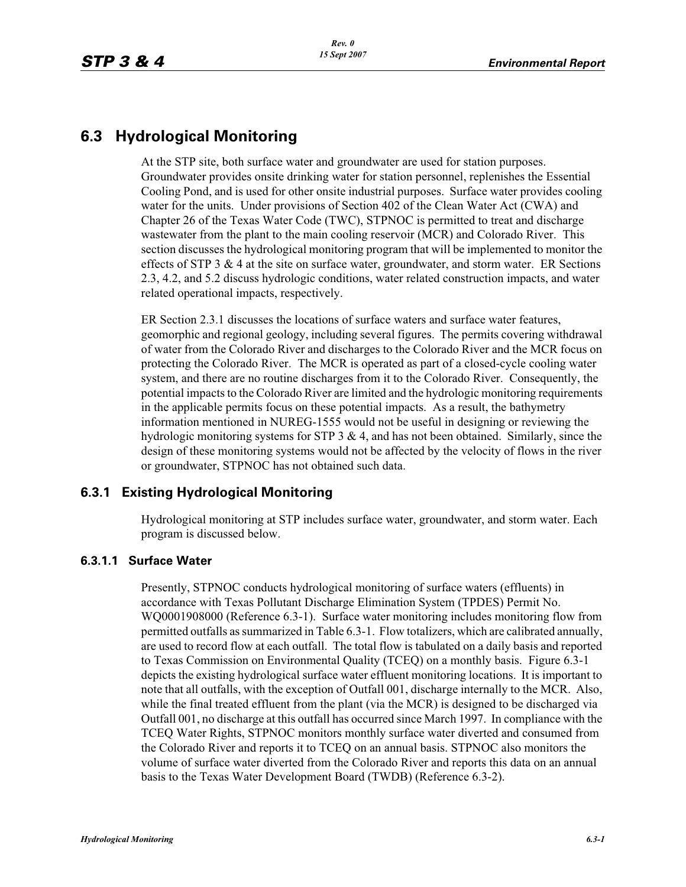# **6.3 Hydrological Monitoring**

At the STP site, both surface water and groundwater are used for station purposes. Groundwater provides onsite drinking water for station personnel, replenishes the Essential Cooling Pond, and is used for other onsite industrial purposes. Surface water provides cooling water for the units. Under provisions of Section 402 of the Clean Water Act (CWA) and Chapter 26 of the Texas Water Code (TWC), STPNOC is permitted to treat and discharge wastewater from the plant to the main cooling reservoir (MCR) and Colorado River. This section discusses the hydrological monitoring program that will be implemented to monitor the effects of STP  $3 \& 4$  at the site on surface water, groundwater, and storm water. ER Sections 2.3, 4.2, and 5.2 discuss hydrologic conditions, water related construction impacts, and water related operational impacts, respectively.

ER Section 2.3.1 discusses the locations of surface waters and surface water features, geomorphic and regional geology, including several figures. The permits covering withdrawal of water from the Colorado River and discharges to the Colorado River and the MCR focus on protecting the Colorado River. The MCR is operated as part of a closed-cycle cooling water system, and there are no routine discharges from it to the Colorado River. Consequently, the potential impacts to the Colorado River are limited and the hydrologic monitoring requirements in the applicable permits focus on these potential impacts. As a result, the bathymetry information mentioned in NUREG-1555 would not be useful in designing or reviewing the hydrologic monitoring systems for STP  $3 \& 4$ , and has not been obtained. Similarly, since the design of these monitoring systems would not be affected by the velocity of flows in the river or groundwater, STPNOC has not obtained such data.

# **6.3.1 Existing Hydrological Monitoring**

Hydrological monitoring at STP includes surface water, groundwater, and storm water. Each program is discussed below.

# **6.3.1.1 Surface Water**

Presently, STPNOC conducts hydrological monitoring of surface waters (effluents) in accordance with Texas Pollutant Discharge Elimination System (TPDES) Permit No. WQ0001908000 (Reference 6.3-1). Surface water monitoring includes monitoring flow from permitted outfalls as summarized in Table 6.3-1. Flow totalizers, which are calibrated annually, are used to record flow at each outfall. The total flow is tabulated on a daily basis and reported to Texas Commission on Environmental Quality (TCEQ) on a monthly basis. Figure 6.3-1 depicts the existing hydrological surface water effluent monitoring locations. It is important to note that all outfalls, with the exception of Outfall 001, discharge internally to the MCR. Also, while the final treated effluent from the plant (via the MCR) is designed to be discharged via Outfall 001, no discharge at this outfall has occurred since March 1997. In compliance with the TCEQ Water Rights, STPNOC monitors monthly surface water diverted and consumed from the Colorado River and reports it to TCEQ on an annual basis. STPNOC also monitors the volume of surface water diverted from the Colorado River and reports this data on an annual basis to the Texas Water Development Board (TWDB) (Reference 6.3-2).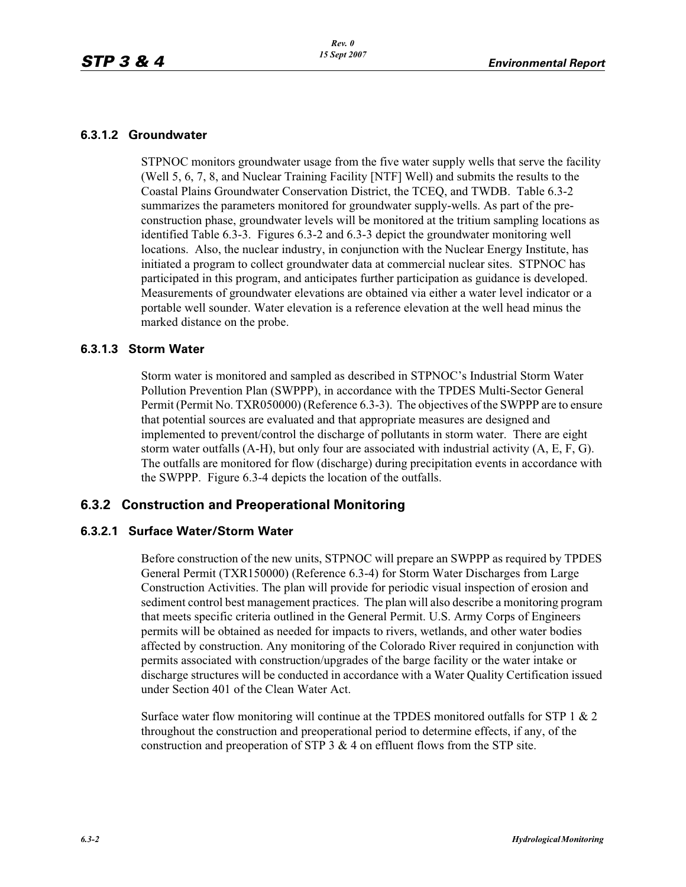#### **6.3.1.2 Groundwater**

STPNOC monitors groundwater usage from the five water supply wells that serve the facility (Well 5, 6, 7, 8, and Nuclear Training Facility [NTF] Well) and submits the results to the Coastal Plains Groundwater Conservation District, the TCEQ, and TWDB. Table 6.3-2 summarizes the parameters monitored for groundwater supply-wells. As part of the preconstruction phase, groundwater levels will be monitored at the tritium sampling locations as identified Table 6.3-3. Figures 6.3-2 and 6.3-3 depict the groundwater monitoring well locations. Also, the nuclear industry, in conjunction with the Nuclear Energy Institute, has initiated a program to collect groundwater data at commercial nuclear sites. STPNOC has participated in this program, and anticipates further participation as guidance is developed. Measurements of groundwater elevations are obtained via either a water level indicator or a portable well sounder. Water elevation is a reference elevation at the well head minus the marked distance on the probe.

#### **6.3.1.3 Storm Water**

Storm water is monitored and sampled as described in STPNOC's Industrial Storm Water Pollution Prevention Plan (SWPPP), in accordance with the TPDES Multi-Sector General Permit (Permit No. TXR050000) (Reference 6.3-3). The objectives of the SWPPP are to ensure that potential sources are evaluated and that appropriate measures are designed and implemented to prevent/control the discharge of pollutants in storm water. There are eight storm water outfalls  $(A-H)$ , but only four are associated with industrial activity  $(A, E, F, G)$ . The outfalls are monitored for flow (discharge) during precipitation events in accordance with the SWPPP. Figure 6.3-4 depicts the location of the outfalls.

# **6.3.2 Construction and Preoperational Monitoring**

### **6.3.2.1 Surface Water/Storm Water**

Before construction of the new units, STPNOC will prepare an SWPPP as required by TPDES General Permit (TXR150000) (Reference 6.3-4) for Storm Water Discharges from Large Construction Activities. The plan will provide for periodic visual inspection of erosion and sediment control best management practices. The plan will also describe a monitoring program that meets specific criteria outlined in the General Permit. U.S. Army Corps of Engineers permits will be obtained as needed for impacts to rivers, wetlands, and other water bodies affected by construction. Any monitoring of the Colorado River required in conjunction with permits associated with construction/upgrades of the barge facility or the water intake or discharge structures will be conducted in accordance with a Water Quality Certification issued under Section 401 of the Clean Water Act.

Surface water flow monitoring will continue at the TPDES monitored outfalls for STP 1 & 2 throughout the construction and preoperational period to determine effects, if any, of the construction and preoperation of STP 3 & 4 on effluent flows from the STP site.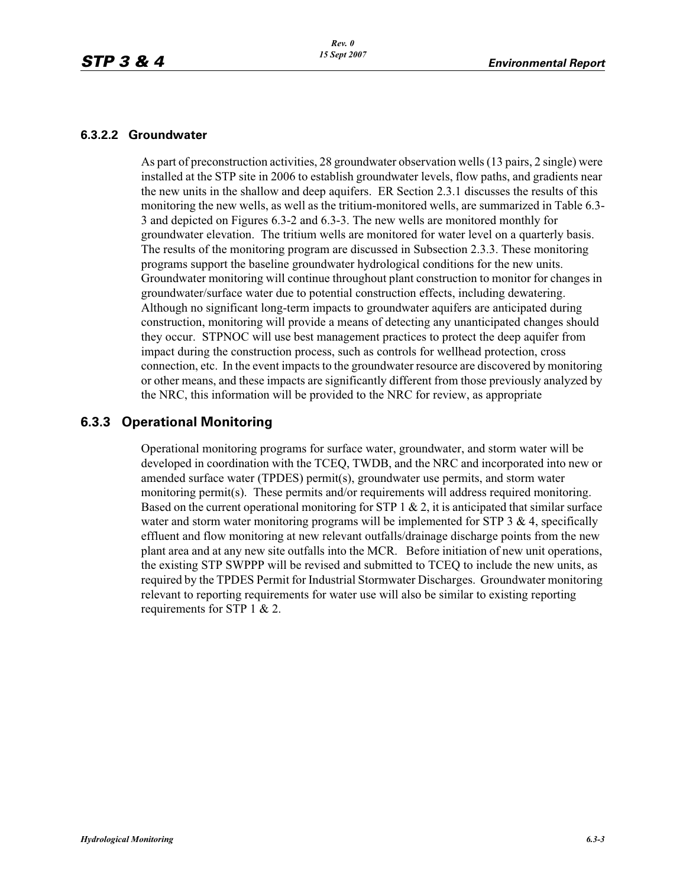#### **6.3.2.2 Groundwater**

As part of preconstruction activities, 28 groundwater observation wells (13 pairs, 2 single) were installed at the STP site in 2006 to establish groundwater levels, flow paths, and gradients near the new units in the shallow and deep aquifers. ER Section 2.3.1 discusses the results of this monitoring the new wells, as well as the tritium-monitored wells, are summarized in Table 6.3- 3 and depicted on Figures 6.3-2 and 6.3-3. The new wells are monitored monthly for groundwater elevation. The tritium wells are monitored for water level on a quarterly basis. The results of the monitoring program are discussed in Subsection 2.3.3. These monitoring programs support the baseline groundwater hydrological conditions for the new units. Groundwater monitoring will continue throughout plant construction to monitor for changes in groundwater/surface water due to potential construction effects, including dewatering. Although no significant long-term impacts to groundwater aquifers are anticipated during construction, monitoring will provide a means of detecting any unanticipated changes should they occur. STPNOC will use best management practices to protect the deep aquifer from impact during the construction process, such as controls for wellhead protection, cross connection, etc. In the event impacts to the groundwater resource are discovered by monitoring or other means, and these impacts are significantly different from those previously analyzed by the NRC, this information will be provided to the NRC for review, as appropriate

### **6.3.3 Operational Monitoring**

Operational monitoring programs for surface water, groundwater, and storm water will be developed in coordination with the TCEQ, TWDB, and the NRC and incorporated into new or amended surface water (TPDES) permit(s), groundwater use permits, and storm water monitoring permit(s). These permits and/or requirements will address required monitoring. Based on the current operational monitoring for STP  $1 \& 2$ , it is anticipated that similar surface water and storm water monitoring programs will be implemented for STP  $3 \& 4$ , specifically effluent and flow monitoring at new relevant outfalls/drainage discharge points from the new plant area and at any new site outfalls into the MCR. Before initiation of new unit operations, the existing STP SWPPP will be revised and submitted to TCEQ to include the new units, as required by the TPDES Permit for Industrial Stormwater Discharges. Groundwater monitoring relevant to reporting requirements for water use will also be similar to existing reporting requirements for STP 1 & 2.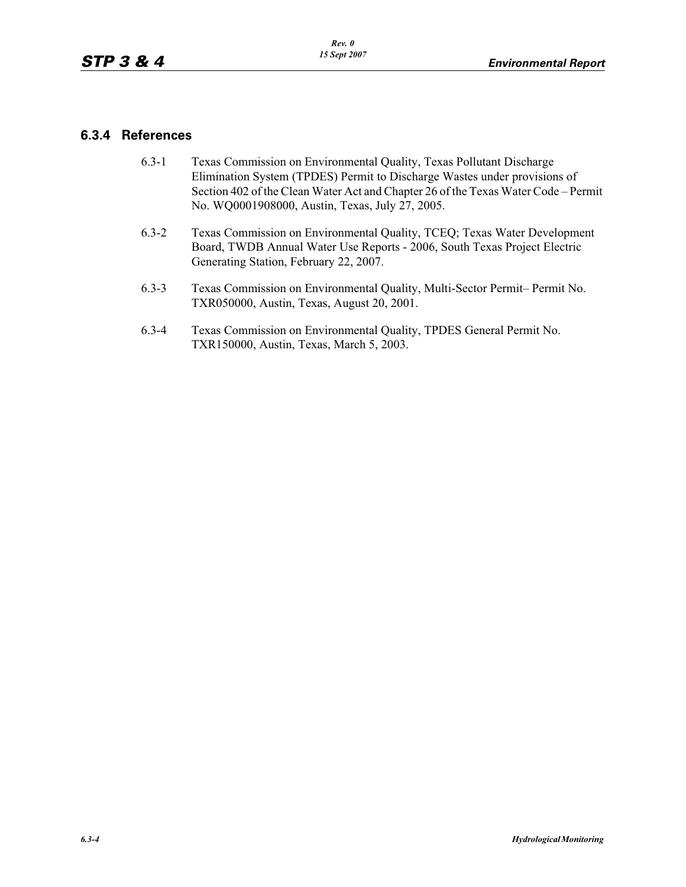## **6.3.4 References**

- 6.3-1 Texas Commission on Environmental Quality, Texas Pollutant Discharge Elimination System (TPDES) Permit to Discharge Wastes under provisions of Section 402 of the Clean Water Act and Chapter 26 of the Texas Water Code – Permit No. WQ0001908000, Austin, Texas, July 27, 2005.
- 6.3-2 Texas Commission on Environmental Quality, TCEQ; Texas Water Development Board, TWDB Annual Water Use Reports - 2006, South Texas Project Electric Generating Station, February 22, 2007.
- 6.3-3 Texas Commission on Environmental Quality, Multi-Sector Permit– Permit No. TXR050000, Austin, Texas, August 20, 2001.
- 6.3-4 Texas Commission on Environmental Quality, TPDES General Permit No. TXR150000, Austin, Texas, March 5, 2003.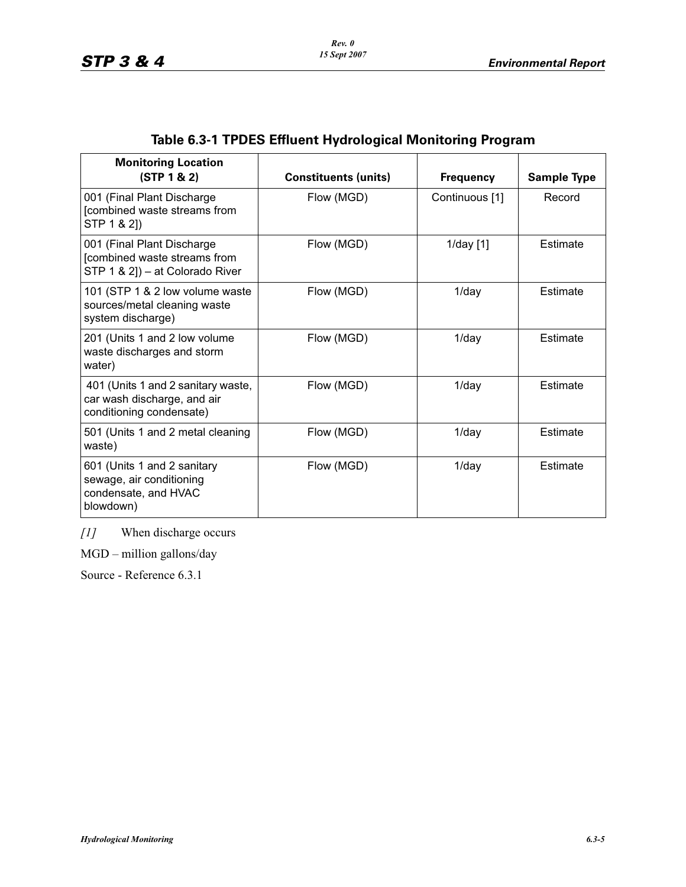| <b>Monitoring Location</b><br>(STP 1 & 2)                                                     | <b>Constituents (units)</b> | <b>Frequency</b> | <b>Sample Type</b> |
|-----------------------------------------------------------------------------------------------|-----------------------------|------------------|--------------------|
| 001 (Final Plant Discharge<br>[combined waste streams from<br>STP 1 & 2])                     | Flow (MGD)                  | Continuous [1]   | Record             |
| 001 (Final Plant Discharge<br>[combined waste streams from<br>STP 1 & 2]) - at Colorado River | Flow (MGD)                  | $1$ /day $[1]$   | Estimate           |
| 101 (STP 1 & 2 low volume waste<br>sources/metal cleaning waste<br>system discharge)          | Flow (MGD)                  | $1$ /day         | Estimate           |
| 201 (Units 1 and 2 low volume<br>waste discharges and storm<br>water)                         | Flow (MGD)                  | $1$ /day         | Estimate           |
| 401 (Units 1 and 2 sanitary waste,<br>car wash discharge, and air<br>conditioning condensate) | Flow (MGD)                  | $1$ /day         | Estimate           |
| 501 (Units 1 and 2 metal cleaning<br>waste)                                                   | Flow (MGD)                  | $1$ /day         | Estimate           |
| 601 (Units 1 and 2 sanitary<br>sewage, air conditioning<br>condensate, and HVAC<br>blowdown)  | Flow (MGD)                  | $1$ /day         | Estimate           |

# **Table 6.3-1 TPDES Effluent Hydrological Monitoring Program**

*[1]* When discharge occurs

MGD – million gallons/day

Source - Reference 6.3.1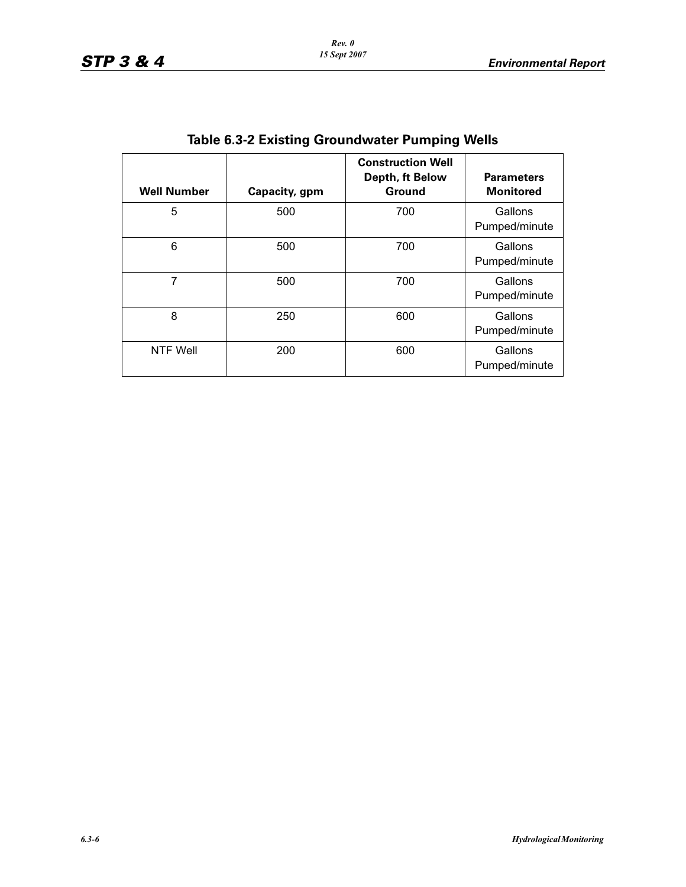| <b>Well Number</b> | Capacity, gpm | <b>Construction Well</b><br>Depth, ft Below<br>Ground | <b>Parameters</b><br><b>Monitored</b> |  |  |
|--------------------|---------------|-------------------------------------------------------|---------------------------------------|--|--|
| 5                  | 500           | 700                                                   | Gallons<br>Pumped/minute              |  |  |
| 6                  | 500           | 700                                                   | Gallons<br>Pumped/minute              |  |  |
| 7                  | 500           | 700                                                   | Gallons<br>Pumped/minute              |  |  |
| 8                  | 250           | 600                                                   | Gallons<br>Pumped/minute              |  |  |
| NTF Well           | 200           | 600                                                   | Gallons<br>Pumped/minute              |  |  |

**Table 6.3-2 Existing Groundwater Pumping Wells**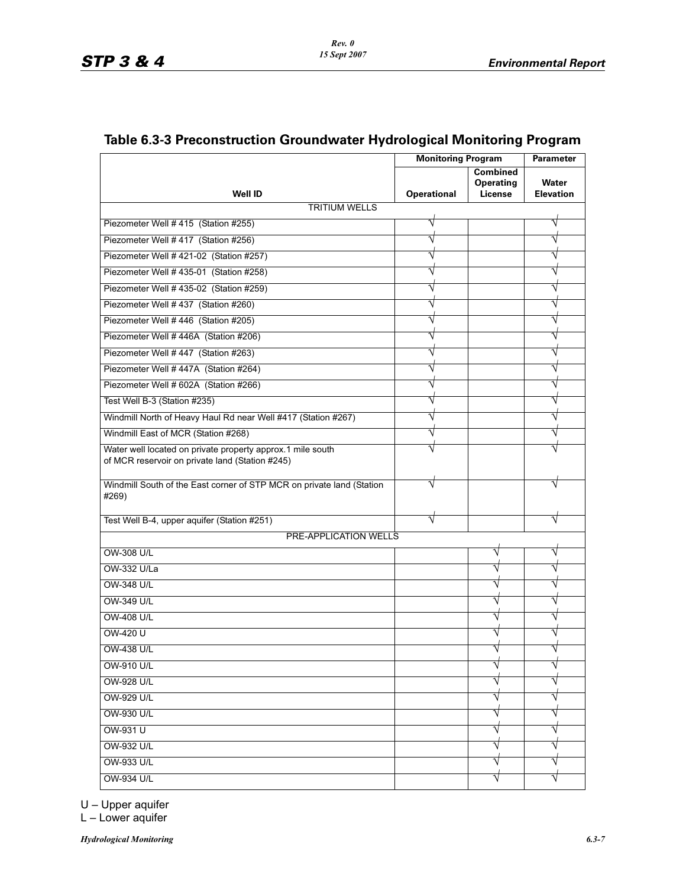|                                                                                                               | <b>Monitoring Program</b> |                                                | <b>Parameter</b>          |
|---------------------------------------------------------------------------------------------------------------|---------------------------|------------------------------------------------|---------------------------|
| <b>Well ID</b>                                                                                                | <b>Operational</b>        | <b>Combined</b><br><b>Operating</b><br>License | Water<br><b>Elevation</b> |
| <b>TRITIUM WELLS</b>                                                                                          |                           |                                                |                           |
| Piezometer Well # 415 (Station #255)                                                                          |                           |                                                |                           |
| Piezometer Well # 417 (Station #256)                                                                          |                           |                                                |                           |
| Piezometer Well #421-02 (Station #257)                                                                        |                           |                                                |                           |
| Piezometer Well #435-01 (Station #258)                                                                        |                           |                                                |                           |
| Piezometer Well # 435-02 (Station #259)                                                                       |                           |                                                |                           |
| Piezometer Well # 437 (Station #260)                                                                          |                           |                                                |                           |
| Piezometer Well #446 (Station #205)                                                                           |                           |                                                |                           |
| Piezometer Well #446A (Station #206)                                                                          |                           |                                                |                           |
| Piezometer Well #447 (Station #263)                                                                           |                           |                                                |                           |
| Piezometer Well #447A (Station #264)                                                                          |                           |                                                |                           |
| Piezometer Well # 602A (Station #266)                                                                         |                           |                                                |                           |
| Test Well B-3 (Station #235)                                                                                  |                           |                                                |                           |
| Windmill North of Heavy Haul Rd near Well #417 (Station #267)                                                 |                           |                                                |                           |
| Windmill East of MCR (Station #268)                                                                           |                           |                                                |                           |
| Water well located on private property approx.1 mile south<br>of MCR reservoir on private land (Station #245) |                           |                                                |                           |
| Windmill South of the East corner of STP MCR on private land (Station<br>#269)                                | V                         |                                                |                           |
| Test Well B-4, upper aquifer (Station #251)                                                                   |                           |                                                |                           |
| <b>PRE-APPLICATION WELLS</b>                                                                                  |                           |                                                |                           |
| OW-308 U/L                                                                                                    |                           |                                                |                           |
| OW-332 U/La                                                                                                   |                           |                                                |                           |
| <b>OW-348 U/L</b>                                                                                             |                           |                                                |                           |
| OW-349 U/L                                                                                                    |                           |                                                |                           |
| <b>OW-408 U/L</b>                                                                                             |                           |                                                |                           |
| OW-420 U                                                                                                      |                           |                                                |                           |
| OW-438 U/L                                                                                                    |                           |                                                |                           |
| OW-910 U/L                                                                                                    |                           |                                                |                           |
| OW-928 U/L                                                                                                    |                           |                                                |                           |
| OW-929 U/L                                                                                                    |                           |                                                |                           |
| OW-930 U/L                                                                                                    |                           |                                                |                           |
| OW-931 U                                                                                                      |                           |                                                |                           |
| OW-932 U/L                                                                                                    |                           |                                                |                           |
| OW-933 U/L                                                                                                    |                           |                                                |                           |
| <b>OW-934 U/L</b>                                                                                             |                           |                                                |                           |

# **Table 6.3-3 Preconstruction Groundwater Hydrological Monitoring Program**

U – Upper aquifer

L – Lower aquifer

*Hydrological Monitoring 6.3-7*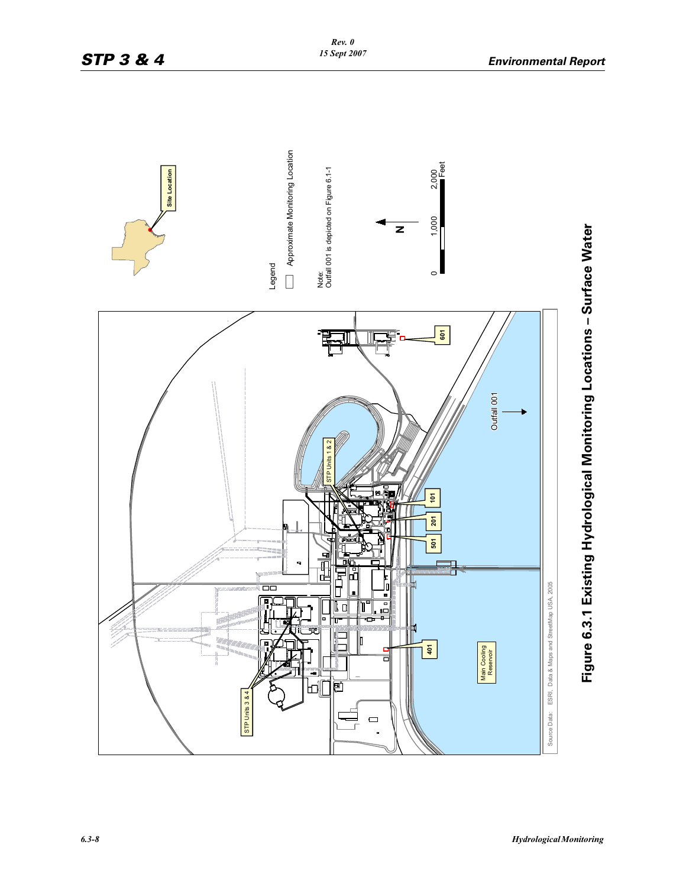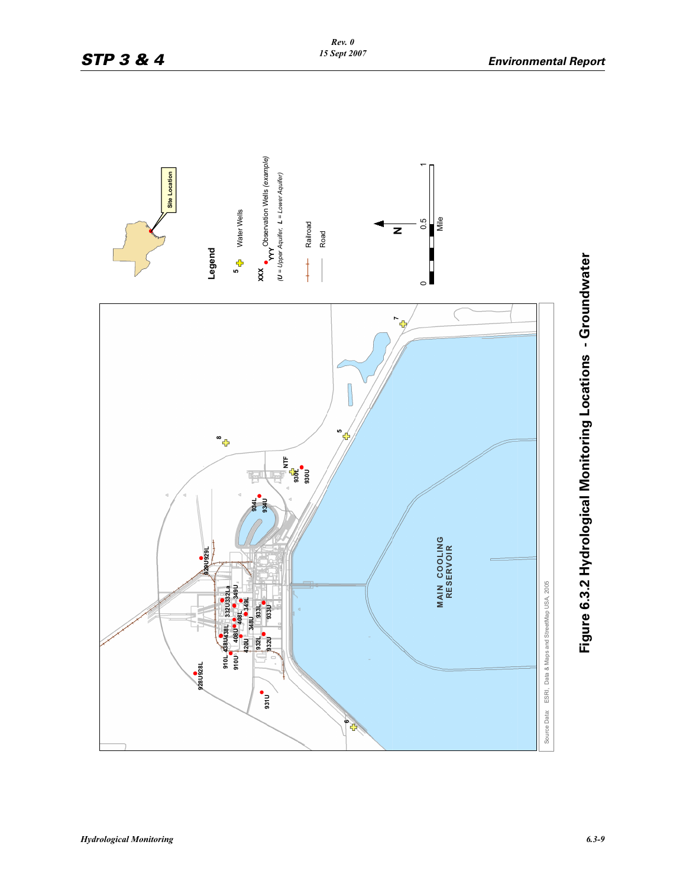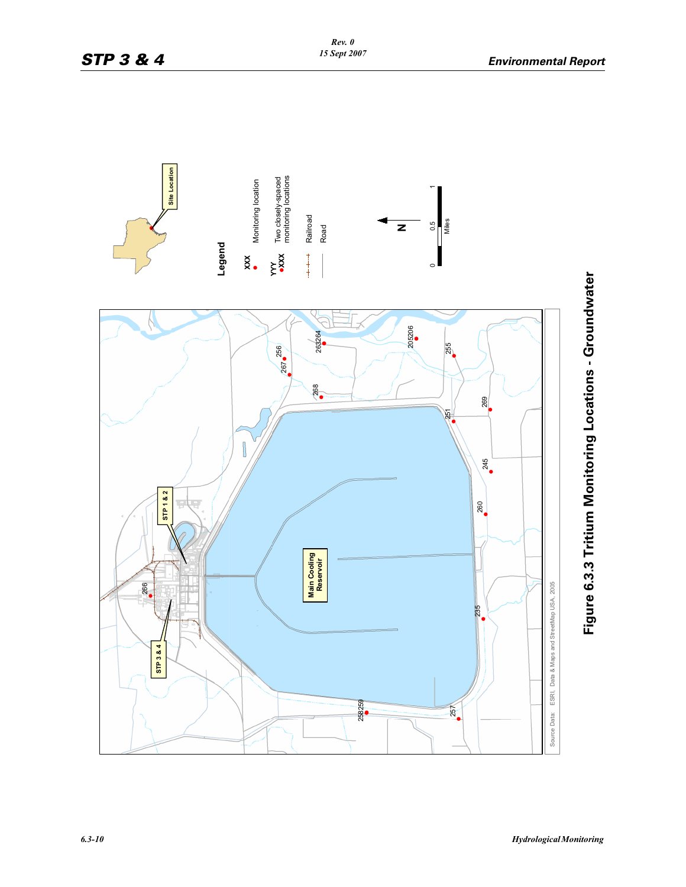